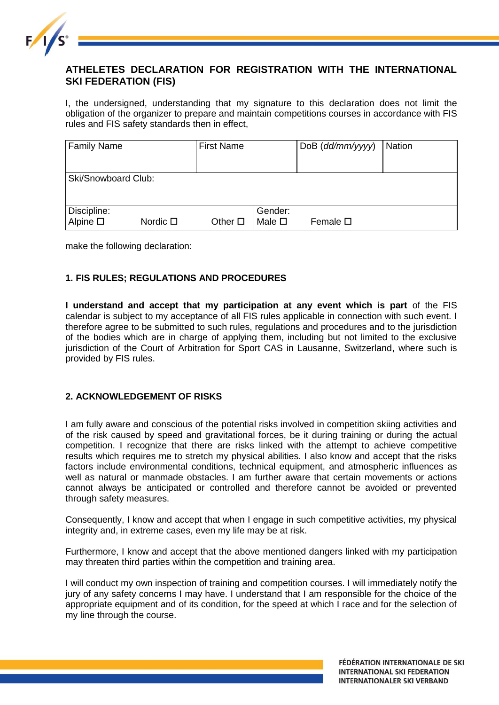

# **ATHELETES DECLARATION FOR REGISTRATION WITH THE INTERNATIONAL SKI FEDERATION (FIS)**

I, the undersigned, understanding that my signature to this declaration does not limit the obligation of the organizer to prepare and maintain competitions courses in accordance with FIS rules and FIS safety standards then in effect,

| <b>Family Name</b>              |                  | <b>First Name</b> |                           | DoB (dd/mm/yyyy) | <b>Nation</b> |
|---------------------------------|------------------|-------------------|---------------------------|------------------|---------------|
| Ski/Snowboard Club:             |                  |                   |                           |                  |               |
| Discipline:<br>Alpine $\square$ | Nordic $\square$ | Other $\square$   | Gender:<br>Male $\square$ | Female $\square$ |               |

make the following declaration:

## **1. FIS RULES; REGULATIONS AND PROCEDURES**

**I understand and accept that my participation at any event which is part** of the FIS calendar is subject to my acceptance of all FIS rules applicable in connection with such event. I therefore agree to be submitted to such rules, regulations and procedures and to the jurisdiction of the bodies which are in charge of applying them, including but not limited to the exclusive jurisdiction of the Court of Arbitration for Sport CAS in Lausanne, Switzerland, where such is provided by FIS rules.

#### **2. ACKNOWLEDGEMENT OF RISKS**

I am fully aware and conscious of the potential risks involved in competition skiing activities and of the risk caused by speed and gravitational forces, be it during training or during the actual competition. I recognize that there are risks linked with the attempt to achieve competitive results which requires me to stretch my physical abilities. I also know and accept that the risks factors include environmental conditions, technical equipment, and atmospheric influences as well as natural or manmade obstacles. I am further aware that certain movements or actions cannot always be anticipated or controlled and therefore cannot be avoided or prevented through safety measures.

Consequently, I know and accept that when I engage in such competitive activities, my physical integrity and, in extreme cases, even my life may be at risk.

Furthermore, I know and accept that the above mentioned dangers linked with my participation may threaten third parties within the competition and training area.

I will conduct my own inspection of training and competition courses. I will immediately notify the jury of any safety concerns I may have. I understand that I am responsible for the choice of the appropriate equipment and of its condition, for the speed at which I race and for the selection of my line through the course.